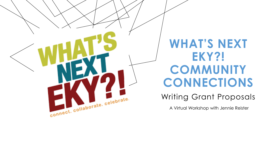

## WHAT'S NEXT **EKY?! COMMUNITY CONNECTIONS**

#### Writing Grant Proposals

A Virtual Workshop with Jennie Reister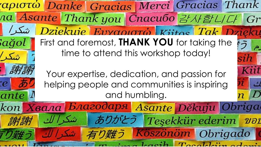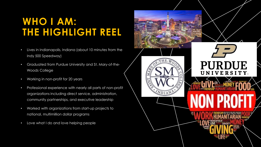### **WHO I AM: THE HIGHLIGHT REEL**

- Lives in Indianapolis, Indiana (about 10 minutes from the Indy 500 Speedway)
- Graduated from Purdue University and St. Mary-of-the-Woods College
- Working in non-profit for 20 years
- Professional experience with nearly all parts of non-profit organizations including direct service, administration, community partnerships, and executive leadership
- Worked with organizations from start-up projects to national, multimillion dollar programs
- Love what I do and love helping people

![](_page_2_Picture_7.jpeg)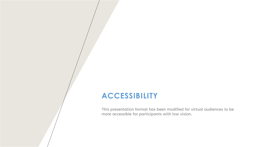#### **ACCESSIBILITY**

This presentation format has been modified for virtual audiences to be more accessible for participants with low vision.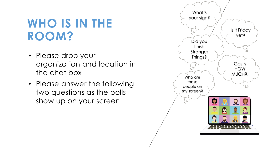## **WHO IS IN THE ROOM?**

- Please drop your organization and location in the chat box
- Please answer the following two questions as the polls show up on your screen

![](_page_4_Figure_3.jpeg)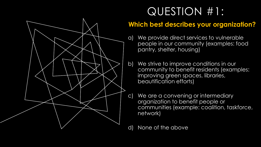![](_page_5_Figure_0.jpeg)

## QUESTION #1:

#### **Which best describes your organization?**

- a) We provide direct services to vulnerable people in our community (examples: food pantry, shelter, housing)
- b) We strive to improve conditions in our community to benefit residents (examples: improving green spaces, libraries, beautification efforts)
- c) We are a convening or intermediary organization to benefit people or communities (example: coalition, taskforce, network)

d) None of the above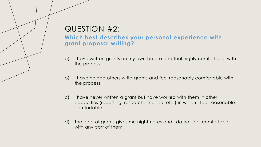#### QUESTION #2:

#### **Which best describes your personal experience with grant proposal writing?**

- a) I have written grants on my own before and feel highly comfortable with the process.
- b) I have helped others write grants and feel reasonably comfortable with the process.
- c) I have never written a grant but have worked with them in other capacities (reporting, research, finance, etc.) in which I feel reasonable comfortable.
- d) The idea of grants gives me nightmares and I do not feel comfortable with any part of them.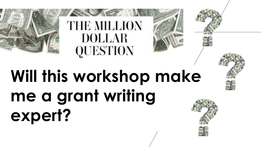![](_page_7_Picture_0.jpeg)

## **Will this workshop make me a grant writing expert?**

QUESTION

**DOLLAR** 

![](_page_7_Picture_2.jpeg)

![](_page_7_Picture_3.jpeg)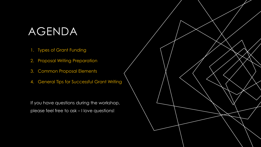## AGENDA

- 1. Types of Grant Funding
- 2. Proposal Writing Preparation
- 3. Common Proposal Elements
- 4. General Tips for Successful Grant Writing

If you have questions during the workshop, please feel free to ask – I love questions!

![](_page_8_Picture_6.jpeg)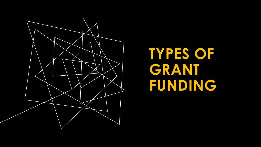![](_page_9_Picture_0.jpeg)

## **TYPES OF GRANT FUNDING**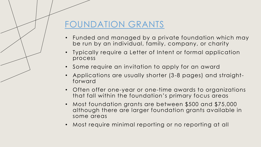#### FOUNDATION GRANTS

- Funded and managed by a private foundation which may be run by an individual, family, company, or charity
- Typically require a Letter of Intent or formal application process
- Some require an invitation to apply for an award
- Applications are usually shorter (3-8 pages) and straightforward
- Often offer one-year or one-time awards to organizations that fall within the foundation's primary focus areas
- Most foundation grants are between \$500 and \$75,000 although there are larger foundation grants available in some areas
- Most require minimal reporting or no reporting at all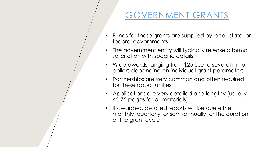#### GOVERNMENT GRANTS

- Funds for these grants are supplied by local, state, or federal governments
- The government entity will typically release a formal solicitation with specific details
- Wide awards ranging from \$25,000 to several million dollars depending on individual grant parameters
- Partnerships are very common and often required for these opportunities
- Applications are very detailed and lengthy (usually 45-75 pages for all materials)
- If awarded, detailed reports will be due either monthly, quarterly, or semi-annually for the duration of the grant cycle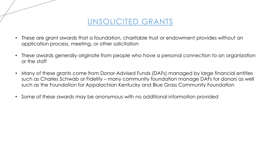![](_page_12_Picture_0.jpeg)

- These are grant awards that a foundation, charitable trust or endowment provides without an application process, meeting, or other solicitation
- These awards generally originate from people who have a personal connection to an organization or the staff
- Many of these grants come from Donor-Advised Funds (DAFs) managed by large financial entities such as Charles Schwab or Fidelity – many community foundation manage DAFs for donors as well such as the Foundation for Appalachian Kentucky and Blue Grass Community Foundation
- Some of these awards may be anonymous with no additional information provided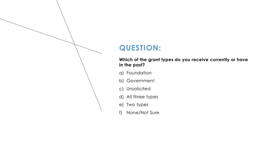#### **QUESTION:**

#### **Which of the grant types do you receive currently or have in the past?**

- a) Foundation
- b) Government
- c) Unsolicited
- d) All three types
- e) Two types
- f) None/Not Sure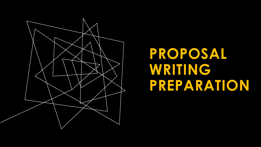![](_page_14_Picture_0.jpeg)

## **PROPOSAL WRITING PREPARATION**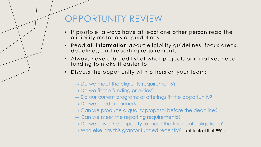#### OPPORTUNITY REVIEW

- If possible, always have at least one other person read the eligibility materials or guidelines
- Read **all information** about eligibility guidelines, focus areas, deadlines, and reporting requirements
- Always have a broad list of what projects or initiatives need funding to make it easier to
- Discuss the opportunity with others on your team:
	- $\rightarrow$  Do we meet the eligibility requirements?
	- $\rightarrow$  Do we fit the funding priorities?
	- $\rightarrow$  Do our current programs or offerings fit the opportunity?
	- $\rightarrow$  Do we need a partner?
	- $\rightarrow$  Can we produce a quality proposal before the deadline?
	- $\rightarrow$  Can we meet the reporting requirements?
	- $\rightarrow$  Do we have the capacity to meet the financial obligations?
	- $\rightarrow$  Who else has this grantor funded recently? (hint: look at their 990!)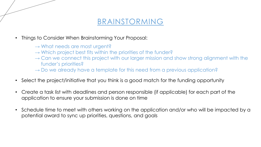#### BRAINSTORMING

- Things to Consider When Brainstorming Your Proposal:
	- $\rightarrow$  What needs are most urgent?
	- $\rightarrow$  Which project best fits within the priorities of the funder?
	- $\rightarrow$  Can we connect this project with our larger mission and show strong alignment with the funder's priorities?
	- $\rightarrow$  Do we already have a template for this need from a previous application?
- Select the project/initiative that you think is a good match for the funding opportunity
- Create a task list with deadlines and person responsible (if applicable) for each part of the application to ensure your submission is done on time
- Schedule time to meet with others working on the application and/or who will be impacted by a potential award to sync up priorities, questions, and goals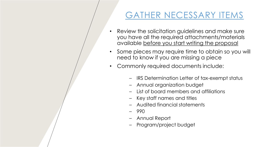#### GATHER NECESSARY ITEMS

- Review the solicitation guidelines and make sure you have all the required attachments/materials available before you start writing the proposal
- Some pieces may require time to obtain so you will need to know if you are missing a piece
- Commonly required documents include:
	- IRS Determination Letter of tax-exempt status
	- Annual organization budget
	- List of board members and affiliations
	- Key staff names and titles
	- Audited financial statements
	- 990
	- Annual Report
	- Program/project budget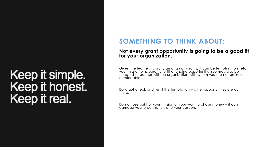## Keep it simple. Keep it honest. Keep it real.

#### **SOMETHING TO THINK ABOUT:**

#### **Not every grant opportunity is going to be a good fit for your organization.**

Given the learned scarcity among non-profits, it can be tempting to stretch your mission or programs to fit a funding opportunity. You may also be fempted to partner with an organization with whom you are not entirely comfortable.

Do a gut check and resist the temptation – other opportunities are out there.

Do not lose sight of your mission or your work to chase money – it can damage your organization and your passion.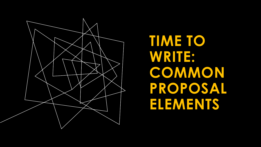![](_page_19_Picture_0.jpeg)

**TIME TO WRITE: COMMON PROPOSAL ELEMENTS**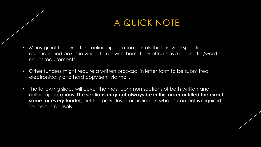#### A QUICK NOTE

- Many grant funders utilize online application portals that provide specific questions and boxes in which to answer them. They often have character/word count requirements.
- Other funders might require a written proposal in letter form to be submitted electronically or a hard copy sent via mail.
- The following slides will cover the most common sections of both written and online applications. **The sections may not always be in this order or titled the exact same for every funder**, but this provides information on what is content is required for most proposals.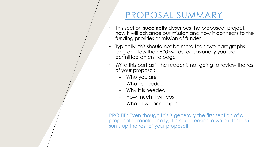#### PROPOSAL SUMMARY

- This section **succinctly** describes the proposed project, how it will advance our mission and how it connects to the funding priorities or mission of funder
- Typically, this should not be more than two paragraphs long and less than 500 words; occasionally you are permitted an entire page
- Write this part as if the reader is not going to review the rest of your proposal:
	- Who you are
	- What is needed
	- Why it is needed
	- How much it will cost
	- What it will accomplish

PRO TIP: Even though this is generally the first section of a proposal chronologically, it is much easier to write it last as it sums up the rest of your proposal!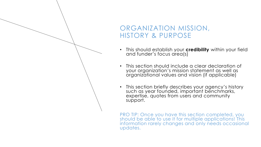#### ORGANIZATION MISSION, HISTORY & PURPOSE

- This should establish your **credibility** within your field and funder's focus area(s)
- This section should include a clear declaration of your organization's mission statement as well as organizational values and vision (if applicable)
- This section briefly describes your agency's history such as year founded, important benchmarks, expertise, quotes from users and community support.

PRO TIP: Once you have this section completed, you should be able to use it for multiple applications! This information rarely changes and only needs occasional updates.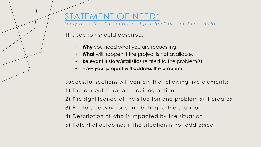#### STATEMENT OF NEED\*

*\*may be called "description of problem" or something similar*

This section should describe:

- **Why** you need what you are requesting
- **What** will happen if the project is not available,
- **Relevant history/statistics** related to the problem(s)
- How **your project will address the problem.**

Successful sections will contain the following five elements:

- 1) The current situation requiring action
- 2) The significance of the situation and problem(s) it creates
- 3) Factors causing or contributing to the situation
- 4) Description of who is impacted by the situation
- 5) Potential outcomes if the situation is not addressed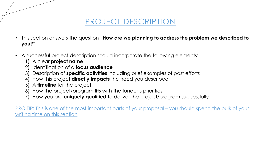#### PROJECT DESCRIPTION

- This section answers the question **"How are we planning to address the problem we described to you?"**
- A successful project description should incorporate the following elements:
	- 1) A clear **project name**
	- 2) Identification of a **focus audience**
	- 3) Description of **specific activities** including brief examples of past efforts
	- 4) How this project **directly impacts** the need you described
	- 5) A **timeline** for the project
	- 6) How the project/program **fits** with the funder's priorities
	- 7) How you are **uniquely qualified** to deliver the project/program successfully

PRO TIP: This is one of the most important parts of your proposal – you should spend the bulk of your writing time on this section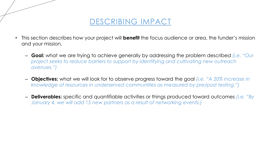![](_page_25_Picture_0.jpeg)

- This section describes how your project will **benefit** the focus audience or area, the funder's mission and your mission.
	- **Goal:** what we are trying to achieve generally by addressing the problem described *(i.e. "Our project seeks to reduce barriers to support by identifying and cultivating new outreach avenues.")*
	- **Objectives:** what we will look for to observe progress toward the goal *(i.e. "A 20% increase in knowledge of resources in underserved communities as measured by pre/post testing.")*
	- **Deliverables:** specific and quantifiable activities or things produced toward outcomes *(i.e. "By January 4, we will add 15 new partners as a result of networking events.)*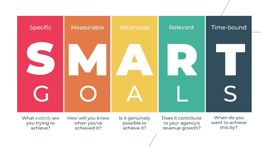![](_page_26_Figure_0.jpeg)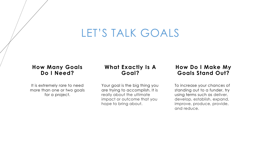## LET'S TALK GOALS

#### **How Many Goals Do I Need?**

It is extremely rare to need more than one or two goals for a project.

#### **What Exactly Is A Goal?**

Your goal is the big thing you are trying to accomplish. It is really about the ultimate impact or outcome that you hope to bring about.

#### **How Do I Make My Goals Stand Out?**

To increase your chances of standing out to a funder, try using terms such as deliver, develop, establish, expand, improve, produce, provide, and reduce.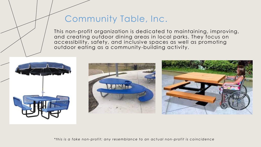#### Community Table, Inc.

This non-profit organization is dedicated to maintaining, improving, and creating outdoor dining areas in local parks. They focus on accessibility, safety, and inclusive spaces as well as promoting outdoor eating as a community-building activity.

![](_page_28_Picture_2.jpeg)

*\*t hi s i s a fake non-profit; any resemblance t o an act ual non -profit i s coi ncidence*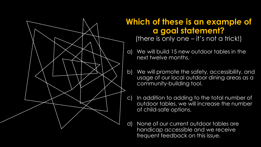![](_page_29_Figure_0.jpeg)

#### **Which of these is an example of a goal statement?**  (there is only one – it's not a trick!)

- a) We will build 15 new outdoor tables in the next twelve months.
- b) We will promote the safety, accessibility, and usage of our local outdoor dining areas as a community-building tool.
- c) In addition to adding to the total number of outdoor tables, we will increase the number of child-safe options.
- d) None of our current outdoor tables are handicap accessible and we receive frequent feedback on this issue.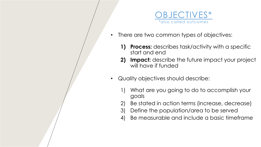![](_page_30_Picture_0.jpeg)

- There are two common types of objectives:
	- **1) Process:** describes task/activity with a specific start and end
	- **2) Impact:** describe the future impact your project will have if funded
- Quality objectives should describe:
	- What are you going to do to accomplish your goals
	- 2) Be stated in action terms (increase, decrease)
	- 3) Define the population/area to be served
	- 4) Be measurable and include a basic timeframe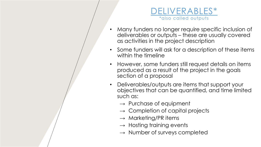![](_page_31_Picture_0.jpeg)

- Many funders no longer require specific inclusion of deliverables or outputs – these are usually covered as activities in the project description
- Some funders will ask for a description of these items within the timeline
- However, some funders still request details on items produced as a result of the project in the goals section of a proposal
- Deliverables/outputs are items that support your objectives that can be quantified, and time limited such as:
	- $\rightarrow$  Purchase of equipment
	- $\rightarrow$  Completion of capital projects
	- $\rightarrow$  Marketing/PR items
	- $\rightarrow$  Hosting training events
	- $\rightarrow$  Number of surveys completed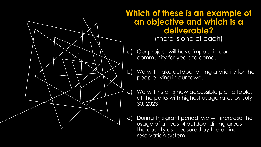![](_page_32_Figure_0.jpeg)

#### **Which of these is an example of an objective and which is a deliverable?** (there is one of each)

- a) Our project will have impact in our community for years to come.
- b) We will make outdoor dining a priority for the people living in our town.
- c) We will install 5 new accessible picnic tables at the parks with highest usage rates by July 30, 2023.
- d) During this grant period, we will increase the usage of at least 4 outdoor dining areas in the county as measured by the online reservation system.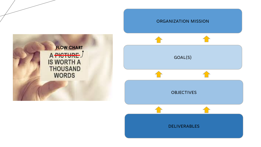![](_page_33_Picture_0.jpeg)

![](_page_33_Figure_1.jpeg)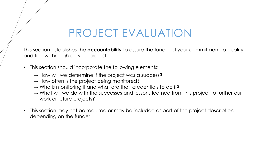## PROJECT EVALUATION

This section establishes the **accountability** to assure the funder of your commitment to quality and follow-through on your project.

- This section should incorporate the following elements:
	- $\rightarrow$  How will we determine if the project was a success?
	- $\rightarrow$  How often is the project being monitored?
	- $\rightarrow$  Who is monitoring it and what are their credentials to do it?
	- $\rightarrow$  What will we do with the successes and lessons learned from this project to further our work or future projects?
- This section may not be required or may be included as part of the project description depending on the funder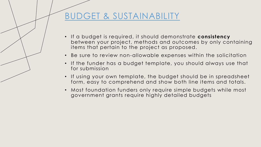#### BUDGET & SUSTAINABILITY

- If a budget is required, it should demonstrate **consistency**  between your project, methods and outcomes by only containing items that pertain to the project as proposed.
- Be sure to review non-allowable expenses within the solicitation
- If the funder has a budget template, you should always use that for submission
- If using your own template, the budget should be in spreadsheet form, easy to comprehend and show both line items and totals.
- Most foundation funders only require simple budgets while most government grants require highly detailed budgets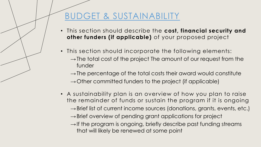### BUDGET & SUSTAINABILITY

- This section should describe the **cost, financial security and other funders (if applicable)** of your proposed project
- This section should incorporate the following elements:
	- $\rightarrow$  The total cost of the project The amount of our request from the funder
	- $\rightarrow$  The percentage of the total costs their award would constitute
	- $\rightarrow$  Other committed funders to the project (if applicable)
- A sustainability plan is an overview of how you plan to raise the remainder of funds or sustain the program if it is ongoing  $\rightarrow$  Brief list of current income sources (donations, grants, events, etc.)
	- $\rightarrow$  Brief overview of pending grant applications for project
	- $\rightarrow$  If the program is ongoing, briefly describe past funding streams that will likely be renewed at some point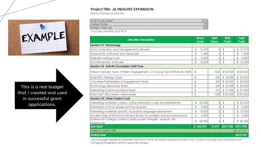# EXAMPLE

This is a real budget that I created and used in successful grant applications.

#### Project Title: JA INSIGHTS EXPANSION

Project Period: 24 Months

| Staff Hourly Rate*  | \$100 |
|---------------------|-------|
| Indirect Rate       | 0%    |
| Margin Mark-Up      | 30%   |
| <b>Service</b><br>. |       |

\*includes benefits and FICA

| <b>Line item Description</b>                                                 | <b>Direct</b><br>Costs | <b>Staff</b><br><b>Hours</b> | <b>Staff</b><br>Costs | <b>Total</b><br>Costs |
|------------------------------------------------------------------------------|------------------------|------------------------------|-----------------------|-----------------------|
| Section #1: Technology                                                       |                        |                              |                       |                       |
| Data Collection and Management Software                                      | \$<br>10,470           | 0                            | \$                    | 10,470<br>\$          |
| Productivity Software and Hardware                                           | \$<br>1,400            | 0                            | \$                    | 1,400                 |
| Website Hosting Costs                                                        | \$<br>3,000            | 0                            | \$                    | 3,000<br>\$           |
| ClickDimension Software                                                      | \$<br>12,600           | 0                            | \$                    | 12,600<br>\$          |
| <b>Section #2: Arthritis Foundation Staff Time</b>                           |                        |                              |                       |                       |
| Mission Delivery Team (Patient Engagement, JA/Young Adult Initiatives staff) | \$                     | 1000                         | \$100,000             | \$100,000             |
| Scientific Strategy Team                                                     | \$                     | 300                          | \$30,000              | \$30,000              |
| Volunteer Partnerships & Engagement Team                                     | \$                     | 200                          | \$ 20,000             | \$20,000              |
| Technology Resources Team                                                    | \$                     | 600                          | \$60,000              | \$60,000              |
| Marketing/Communications Team                                                | \$                     | 575                          | \$57,500              | \$57,500              |
| Field Staff (38 markets nationwide)                                          | \$                     | 1000                         | \$100,000             | \$100,000             |
| Section #3: Other Project Costs                                              |                        |                              |                       |                       |
| Marketing materials (videos, online promotion, paid advertisements)          | \$<br>30,000           | 0                            | \$                    | \$30,000              |
| Translation of final assessment into Spanish                                 | \$<br>5,000            | 0                            | \$                    | \$<br>5,000           |
| Marketing materials specific to Spanish language assessment                  | 15,000<br>\$           | 0                            | \$                    | 15,000<br>\$          |
| Adverra Fees (Institutional Review Board for updates and annual renewal      | \$<br>5,000            | 0                            | \$                    | \$<br>5,000           |
| Dartmouth College contract (data quality/integrity, analysis, etc.           | \$<br>22,000           | 0                            | \$                    | \$22,000              |
| assistance)                                                                  |                        |                              |                       |                       |
| Sub-total                                                                    | \$104,470              | 3,675                        | \$367,500             | \$471,970             |
| Indirect costs (10%)                                                         |                        |                              |                       | \$47,197              |
| <b>Grand Total</b>                                                           |                        |                              |                       | \$519,167             |

\*above budget represents projected costs for 24 month JA INSIGHTS Expansion project only; it does not include costs associated with managing the general INSIGHTS assessment project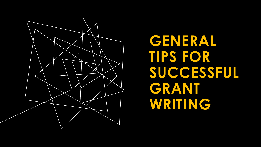![](_page_38_Picture_0.jpeg)

**GENERAL TIPS FOR SUCCESSFUL GRANT WRITING**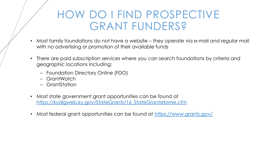## HOW DO I FIND PROSPECTIVE GRANT FUNDERS?

- Most family foundations do not have a website they operate via e-mail and regular mail with no advertising or promotion of their available funds
- There are paid subscription services where you can search foundations by criteria and geographic locations including:
	- Foundation Directory Online (FDO)
	- GrantWatch
	- GrantStation
- Most state government grant opportunities can be found at [https://kydlgweb.ky.gov/StateGrants/16\\_StateGrantsHome.cfm](https://kydlgweb.ky.gov/StateGrants/16_StateGrantsHome.cfm)
- Most federal grant opportunities can be found at <https://www.grants.gov/>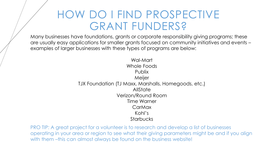## HOW DO I FIND PROSPECTIVE GRANT FUNDERS?

Many businesses have foundations, grants or corporate responsibility giving programs; these are usually easy applications for smaller grants focused on community initiatives and events – examples of larger businesses with these types of programs are below:

> Wal-Mart Whole Foods Publix Meijer TJX Foundation (TJ Maxx, Marshalls, Homegoods, etc.) **AllState** Verizon/Round Room Time Warner **CarMax** Kohl's **Starbucks**

PRO TIP: A great project for a volunteer is to research and develop a list of businesses operating in your area or region to see what their giving parameters might be and if you align with them -this can almost always be found on the business website!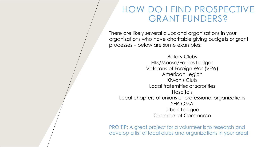#### HOW DO I FIND PROSPECTIVE GRANT FUNDERS?

There are likely several clubs and organizations in your organizations who have charitable giving budgets or grant processes – below are some examples:

Rotary Clubs Elks/Moose/Eagles Lodges Veterans of Foreign War (VFW) American Legion Kiwanis Club Local fraternities or sororities Hospitals Local chapters of unions or professional organizations SERTOMA Urban League Chamber of Commerce

PRO TIP: A great project for a volunteer is to research and develop a list of local clubs and organizations in your area!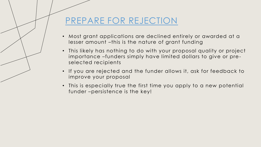#### PREPARE FOR REJECTION

- Most grant applications are declined entirely or awarded at a lesser amount –this is the nature of grant funding
- This likely has nothing to do with your proposal quality or project importance –funders simply have limited dollars to give or preselected recipients
- If you are rejected and the funder allows it, ask for feedback to improve your proposal
- This is especially true the first time you apply to a new potential funder –persistence is the key!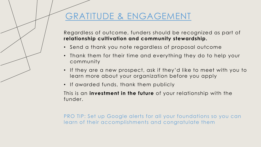#### GRATITUDE & ENGAGEMENT

Regardless of outcome, funders should be recognized as part of **relationship cultivation and community stewardship.** 

- Send a thank you note regardless of proposal outcome
- Thank them for their time and everything they do to help your community
- If they are a new prospect, ask if they'd like to meet with you to learn more about your organization before you apply
- If awarded funds, thank them publicly

This is an **investment in the future** of your relationship with the funder.

PRO TIP: Set up Google alerts for all your foundations so you can learn of their accomplishments and congratulate them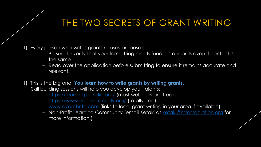#### THE TWO SECRETS OF GRANT WRITING

#### Every person who writes grants re-uses proposals

- Be sure to verify that your formatting meets funder standards even if content is the same.
- Read over the application before submitting to ensure it remains accurate and relevant.
- 1) This is the big one: **You learn how to write grants by writing grants.**  Skill building sessions will help you develop your talents:
	- <https://learning.candid.org/> (most webinars are free)
	- <https://www.nonprofitready.org/> (totally free)
	- [www.eventbrite.com](http://www.eventbrite.com/) (links to local grant writing in your area if available)
	- Non-Profit Learning Community (email Ketaki at [ketaki@mtassociation.org](mailto:ketaki@mtassociation.org) for more information!)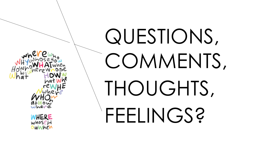![](_page_45_Picture_0.jpeg)

## QUESTIONS, COMMENTS, THOUGHTS, FEELINGS?